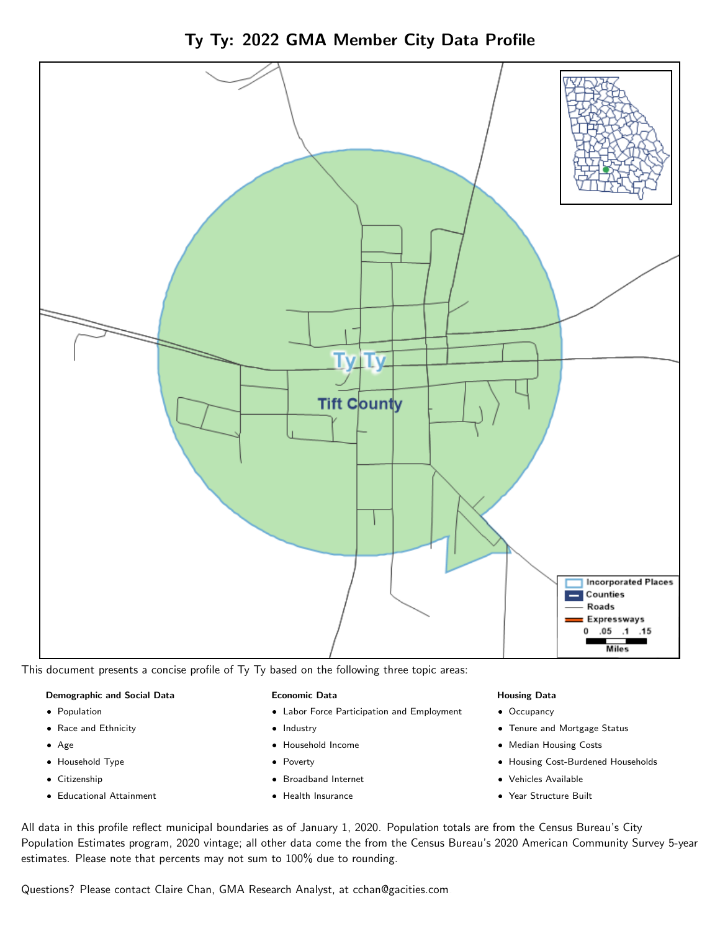Ty Ty: 2022 GMA Member City Data Profile



This document presents a concise profile of Ty Ty based on the following three topic areas:

## Demographic and Social Data

- **•** Population
- Race and Ethnicity
- Age
- Household Type
- **Citizenship**
- Educational Attainment

#### Economic Data

- Labor Force Participation and Employment
- Industry
- Household Income
- Poverty
- Broadband Internet
- Health Insurance

#### Housing Data

- Occupancy
- Tenure and Mortgage Status
- Median Housing Costs
- Housing Cost-Burdened Households
- Vehicles Available
- Year Structure Built

All data in this profile reflect municipal boundaries as of January 1, 2020. Population totals are from the Census Bureau's City Population Estimates program, 2020 vintage; all other data come the from the Census Bureau's 2020 American Community Survey 5-year estimates. Please note that percents may not sum to 100% due to rounding.

Questions? Please contact Claire Chan, GMA Research Analyst, at [cchan@gacities.com.](mailto:cchan@gacities.com)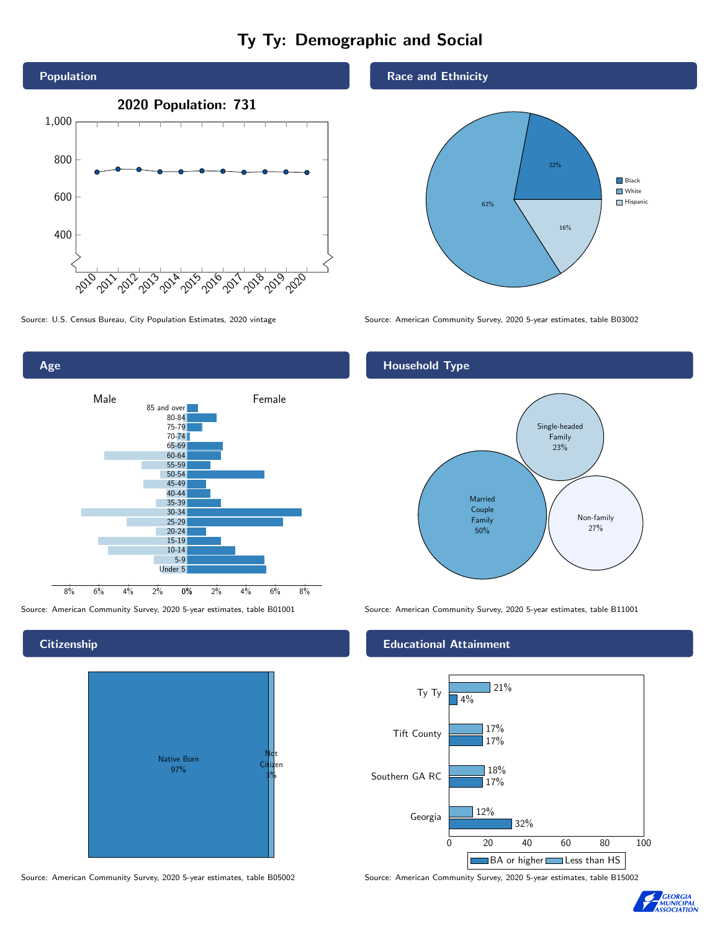# Ty Ty: Demographic and Social







## **Citizenship**



Source: American Community Survey, 2020 5-year estimates, table B05002 Source: American Community Survey, 2020 5-year estimates, table B15002

#### Race and Ethnicity



Source: U.S. Census Bureau, City Population Estimates, 2020 vintage Source: American Community Survey, 2020 5-year estimates, table B03002

# Household Type



Source: American Community Survey, 2020 5-year estimates, table B01001 Source: American Community Survey, 2020 5-year estimates, table B11001

#### Educational Attainment



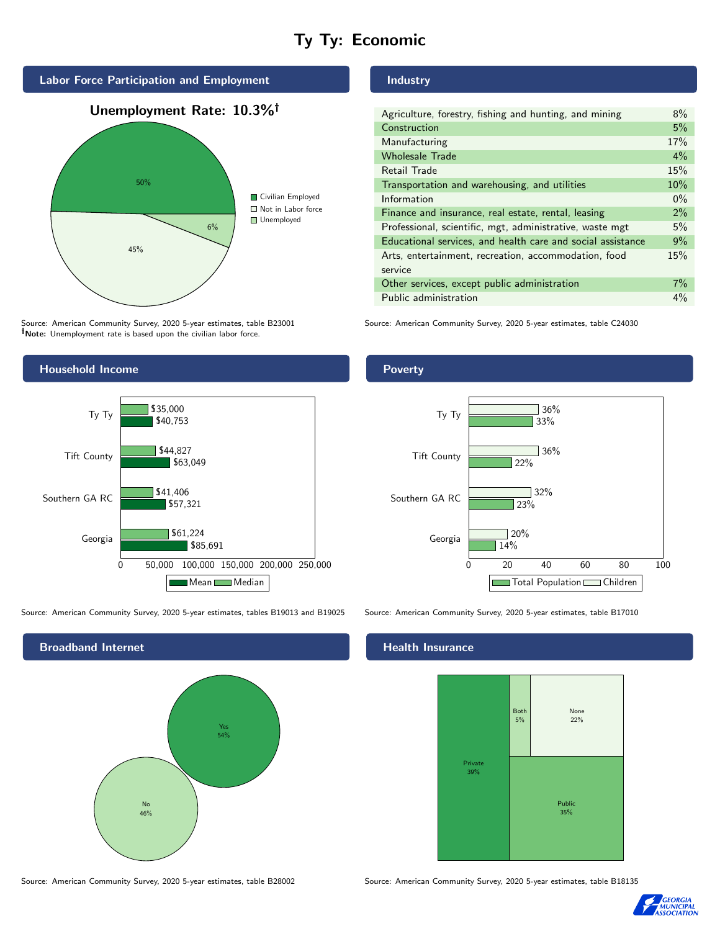# Ty Ty: Economic



Source: American Community Survey, 2020 5-year estimates, table B23001 Note: Unemployment rate is based upon the civilian labor force.

# Household Income 0 50,000 100,000 150,000 200,000 250,000 Georgia Southern GA RC Tift County Ty Ty \$85,691 \$57,321 \$63,049 \$40,753 \$61,224 \$41,406 \$44,827 \$35,000 Mean Median

Source: American Community Survey, 2020 5-year estimates, tables B19013 and B19025 Source: American Community Survey, 2020 5-year estimates, table B17010

Broadband Internet No 46% Yes 54%

## Industry

| Agriculture, forestry, fishing and hunting, and mining      | 8%    |
|-------------------------------------------------------------|-------|
| Construction                                                | 5%    |
| Manufacturing                                               | 17%   |
| <b>Wholesale Trade</b>                                      | 4%    |
| Retail Trade                                                | 15%   |
| Transportation and warehousing, and utilities               | 10%   |
| Information                                                 | $0\%$ |
| Finance and insurance, real estate, rental, leasing         | 2%    |
| Professional, scientific, mgt, administrative, waste mgt    | 5%    |
| Educational services, and health care and social assistance | 9%    |
| Arts, entertainment, recreation, accommodation, food        | 15%   |
| service                                                     |       |
| Other services, except public administration                | $7\%$ |
| Public administration                                       | $4\%$ |

Source: American Community Survey, 2020 5-year estimates, table C24030

## **Poverty**



#### Health Insurance



Source: American Community Survey, 2020 5-year estimates, table B28002 Source: American Community Survey, 2020 5-year estimates, table B18135